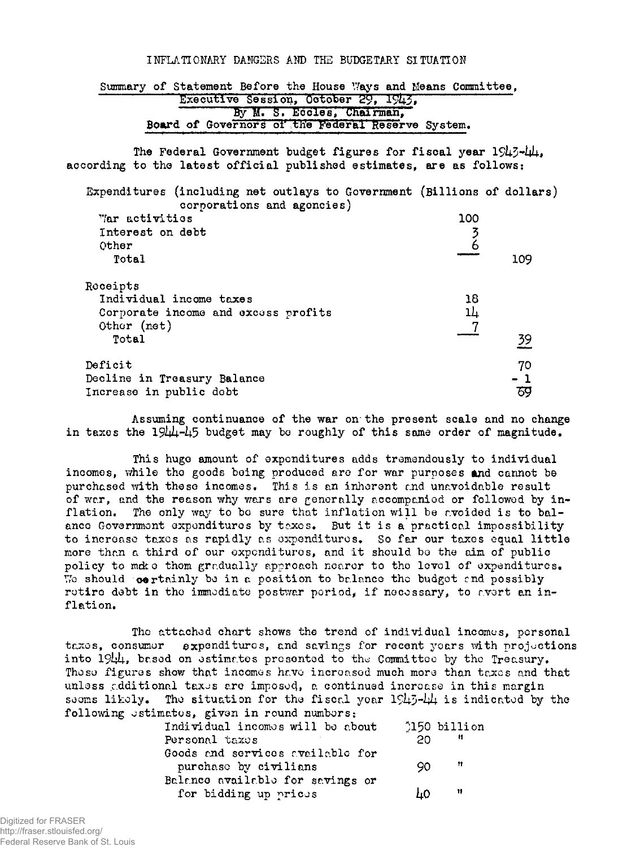INFLATIONARY DANGERS AND THE BUDGETARY SITUATION Summary of Statement Before the House Ways and Means Committee, Executive Session, October 29, 1943. By M. S. Eccles, Chairman, Board of Governors or tne Federal Reserve System. The Federal Government budget figures for fiscal year  $1943$ - $44$ . according to tho latest official published estimates, are as follows: Expenditures (including net outlays to Government (Billions of dollars) corporations and agencies) The rectivities 100<br>
Therest on debt 5<br>
0ther 6 Interest on debt 3  $\lambda$  other 6  $Total$   $109$ Receipts Individual income taxes  $18$ <br>Corporate income and excess profits  $1\hbar$ Corporate income and excess profits  $1\frac{1}{4}$ <br>Other (net) 7 Other (net)<br>Total Total 39 Deficit 70 Decline in Treasury Balance - 1 Increase in public dobt 159 and 159 and 159 and 159 and 159 and 159 and 159 and 159 and 159 and 159 and 159 and 159 and 159 and 159 and 159 and 159 and 159 and 159 and 159 and 159 and 159 and 159 and 159 and 159 and 159 an

Assuming continuance of the war on"the present scale and no change in taxes the  $1944-45$  budget may be roughly of this same order of magnitude.

This huge amount of expenditures adds tremendously to individual incomes, while the goods being produced are for war purposes and cannot be purchased with these incomes. This is an inherent and unavoidable result of war, and the reason why wars are generally accompanied or followed by inflation. The only way to bo sure that inflation will be avoided is to balance Government expenditures by taxos. But it is a practical impossibility to increase taxes as rapidly as expenditures. So far our taxes equal little more than a third of our expenditures, and it should bo the aim of public policy to mcke them gradually approach nearer to the level of expenditures. We should  $o$ ertainly be in a position to balance the budget and possibly retire debt in the immediate postwar period, if necessary, to avert an inflation.

Tho attached chart shows the trend of individual incomes, personal taxes, consumer expenditures, and savings for recent years with projections into  $19\mu$ , based on estimates presented to the Committee by the Treasury. Those figures show that incomes have increased much more than taxes and that unless additional taxes are imposed, a continued increase in this margin seems likely. The situation for the fiscal year  $1543$ - $44$  is indicated by the following estimates, given in round numbers:

| Individual incomes will be about |           | $150$ billion |
|----------------------------------|-----------|---------------|
| Personal taxes                   | <b>20</b> | - 11          |
| Goods and services available for |           |               |
| purchase by civilians            | 90        | - 11          |
| Balance available for savings or |           |               |
| for bidding up prices            | łΩ        | n             |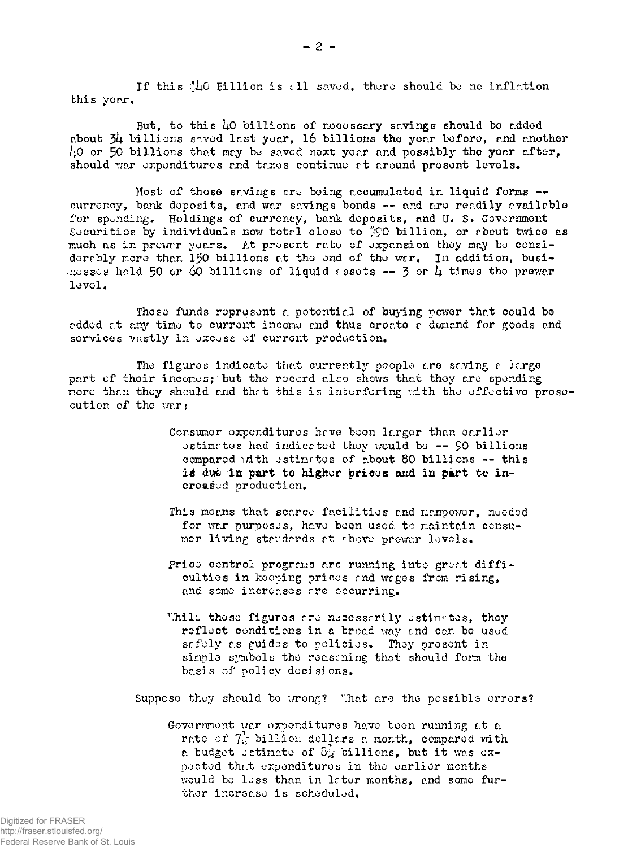If this  $\sqrt[n]{40}$  Billion is all saved, there should be no inflation this year.

But, to this 40 billions of necessary savings should be added about  $3\mu$  billions saved last yoar, 16 billions the yoar before, and another  $l_1$ 0 or 50 billions that may be saved next yoar and possibly the yoar after, should war expenditures and taxes continue at around prosent lovels.

Most of those savings are boing accumulated in liquid forms  $-\frac{1}{2}$ currency, bank deposits, and war savings bonds -- and are readily available for spending. Holdings of curroncy, bank doposits, and U. S. Government Securities by individuals now total close to \$90 billion, or about twice as much as in prower years. At present rate of expansion they may be considorrbly more than 150 billions at the end of the war. In addition, businesses hold 50 or 60 billions of liquid rssots -- 3 or  $\mu$  times the prewar level.

Thoso funds represent a potential of buying power that could be added at any time to current income and thus oroato r demand for goods and services vastly in excess of curront production.

The figures indicate that currently people are saving a large part of their incomes; but the record also shows that they are spending more than they should and that this is interfering with the effective prosecution of tho war;

- Consumor expenditures have boon larger than earlier estimrtes had indicrted thoy would bo — 90 billions compared with estimates of about 80 billions -- this *ii* due in part to higher prices and in part to incroased production.
- This moans that scarce facilities and manpower, needed for war purposes, have been used to maintain consumer living standards at rbove prewar levels.
- Price control progress are running into great difficulties in keeping prices rnd wcges from rising, and some increases are occurring.
- Thile these figures are necessarily estimates, they reflect conditions in a broad way and can be used srfely as guides to policies. They present in simple symbols the reasoning that should form the basis of policy decisions.

Suppose they should be wrong? What are the possible errors?

Government war expenditures have been running at a rate of  $\gamma_x$  billion dollars a month, compared with a budget estimate of  $6\frac{1}{2}$  billions, but it was expected that expenditures in the earlier months would be less than in later months, and some further increase is scheduled.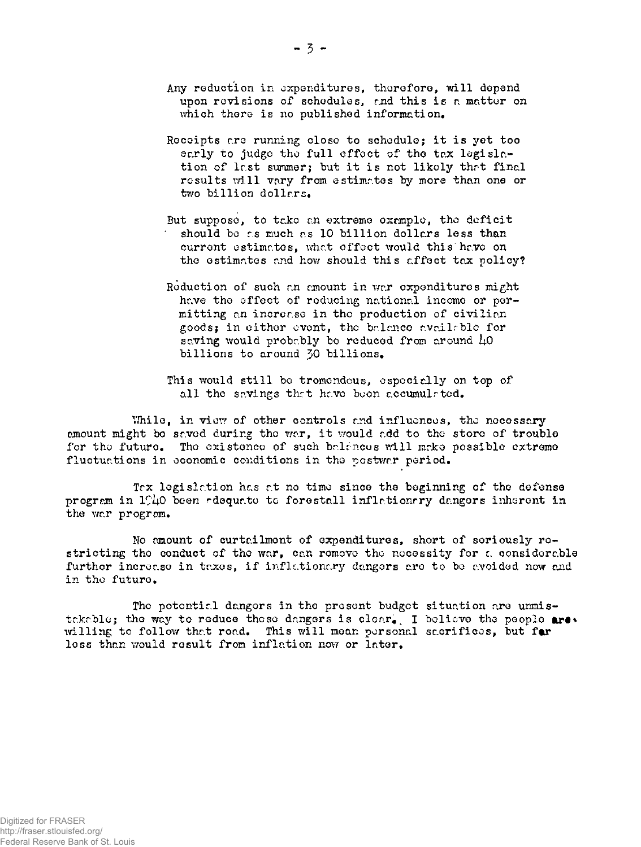- Any reduction in expenditures, therefore, will depend upon revisions of schedules, and this is a matter on which there is no published information.
- Rocoipts are running close to schedule; it is yet too early to judge the full effect of the tax legislation of last summer; but it is not likely that final results will vary from estimates by more than one or two billion dollars.
- But suppose, to take an extreme example, the deficit should be as much as 10 billion dollars less than current estimates, what effect would this have on the estimates and how should this affect tax policy?
- Reduction of such an amount in war expenditures might have the offect of reducing national income or permitting an increase in the production of civilian goods; in either event, the balanco availrble for saving would probably be reduced from around  $\mu$ 0 billions to around 30 billions.
- This would still bo tromendous, especially on top of all the savings that have boen accumulated.

While, in view of other controls and influences, the necessary amount might bo saved during the war, it would add to the store of trouble for the future. The existence of such baldnees will make possible extreme fluctuations in economic conditions in the postwar period.

Trx legislation has at no time since the beginning of the defense program in 1040 boen rdequate to forestall inflationary dangers inherent in the war program.

No amount of curtailmont of expenditures, short of seriously restricting the conduct of the war, can remove the necessity for a considerable further increase in taxes, if inflationary dangers are to be avoided now and in tho future.

Tho potential dangors in tho present budget situation are unmistakable; the way to reduce these dangers is clear. I believe the people ares willing to follow that road. This will mean personal sacrifices, but for loss than would result from inflation now or later.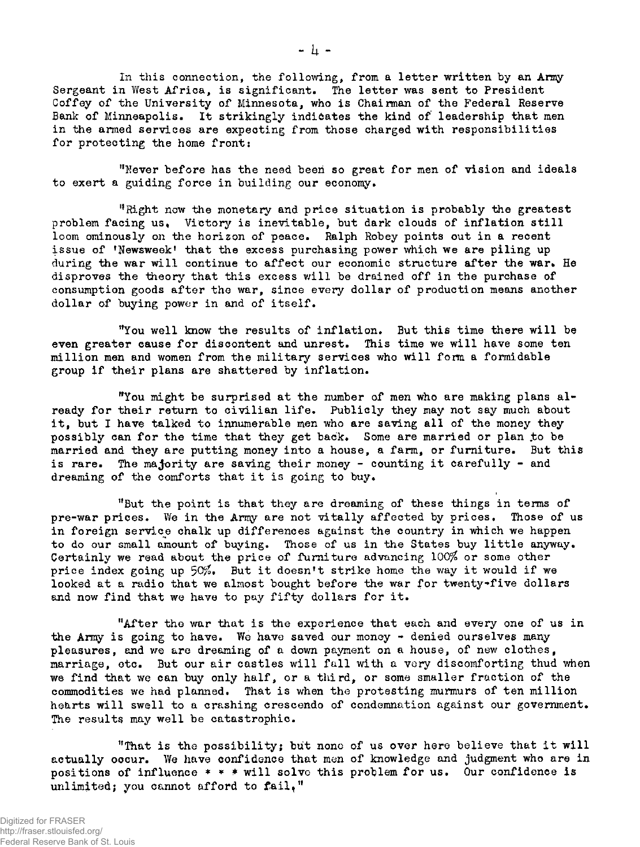In this connection, the following, from a letter written by an Army Sergeant in West Africa, is significant. The letter was sent to President Coffey of the University of Minnesota, who is Chairman of the Federal Reserve Bank of Minneapolis. It strikingly indi6ates the kind of leadership that men in the armed services are expecting from those charged with responsibilities for protecting the home front:

"Never before has the need been so great for men of vision and ideals to exert a guiding force in building our economy.

"Right now the monetary and price situation is probably the greatest problem facing us. Victory is inevitable, but dark clouds of inflation still loom ominously on the horizon of peace. Ralph Robey points out in a recent issue of 'Newsweek' that the excess purchasing power which we are piling up during the war will continue to affect our economic structure after the war. He disproves the theory that this excess will be drained off in the purchase of consumption goods after the war, since every dollar of production means another dollar of buying power in and of itself.

"You well know the results of inflation. But this time there will be even greater cause for discontent and unrest. This time we will have some ten million men and women from the military services who will form a formidable group if their plans are shattered by inflation.

"You might be surprised at the number of men who are making plans already for their return to civilian life. Publicly they may not say much about it, but I have talked to innumerable men who are saving all of the money they possibly can for the time that they get back. Some are married or plan to be married and they are putting money into a house, a farm, or furniture. But this is rare. The majority are saving their money - counting it carefully - and dreaming of the comforts that it is going to buy.

"But the point is that they are dreaming of these things in terms of pre-war prices. We in the Army are not vitally affected by prices. Those of us in foreign service chalk up differences against the country in which we happen to do our small amount of buying. Those of us in the States buy little anyway. Certainly we read about the price of furniture advancing 100% or some other price index going up 50%. But it doesn't strike home the way it would if we looked at a radio that we almost bought before the war for twenty-five dollars and now find that we have to pay fifty dollars for it.

"After the war that is the experience that each and every one of us in the Army is going to have. We have saved our money - denied ourselves many pleasures, and we are dreaming of a down payment on a house, of new clothes, marriage, etc. But our air castles will fall with a very discomforting thud when we find that we can buy only half, or a third, or some smaller fraction of the commodities we had planned. That is when the protesting murmurs of ten million hearts will swell to a crashing crescendo of condemnation against our government. The results may well be catastrophic.

"That is the possibility; but none of us over here believe that it will actually oocur. We have confidence that men of knowledge and judgment who are in positions of influence \* \* \* will solve this problem for us. Our confidence is unlimited; you cannot afford to fail,"